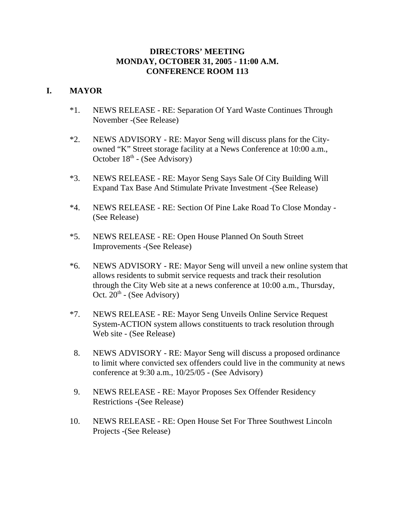# **DIRECTORS' MEETING MONDAY, OCTOBER 31, 2005 - 11:00 A.M. CONFERENCE ROOM 113**

# **I. MAYOR**

- \*1. NEWS RELEASE RE: Separation Of Yard Waste Continues Through November -(See Release)
- \*2. NEWS ADVISORY RE: Mayor Seng will discuss plans for the Cityowned "K" Street storage facility at a News Conference at 10:00 a.m., October 18<sup>th</sup> - (See Advisory)
- \*3. NEWS RELEASE RE: Mayor Seng Says Sale Of City Building Will Expand Tax Base And Stimulate Private Investment -(See Release)
- \*4. NEWS RELEASE RE: Section Of Pine Lake Road To Close Monday (See Release)
- \*5. NEWS RELEASE RE: Open House Planned On South Street Improvements -(See Release)
- \*6. NEWS ADVISORY RE: Mayor Seng will unveil a new online system that allows residents to submit service requests and track their resolution through the City Web site at a news conference at 10:00 a.m., Thursday, Oct.  $20<sup>th</sup>$  - (See Advisory)
- \*7. NEWS RELEASE RE: Mayor Seng Unveils Online Service Request System-ACTION system allows constituents to track resolution through Web site - (See Release)
- 8. NEWS ADVISORY RE: Mayor Seng will discuss a proposed ordinance to limit where convicted sex offenders could live in the community at news conference at 9:30 a.m., 10/25/05 - (See Advisory)
- 9. NEWS RELEASE RE: Mayor Proposes Sex Offender Residency Restrictions -(See Release)
- 10. NEWS RELEASE RE: Open House Set For Three Southwest Lincoln Projects -(See Release)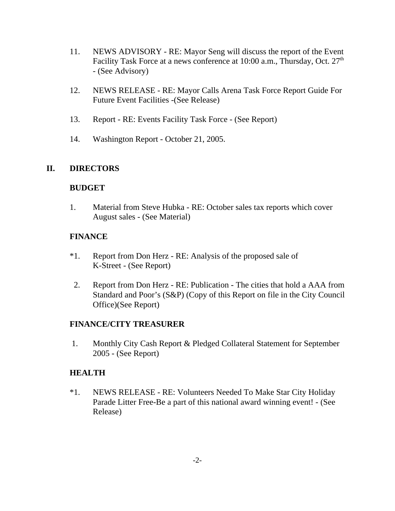- 11. NEWS ADVISORY RE: Mayor Seng will discuss the report of the Event Facility Task Force at a news conference at  $10:00$  a.m., Thursday, Oct.  $27<sup>th</sup>$ - (See Advisory)
- 12. NEWS RELEASE RE: Mayor Calls Arena Task Force Report Guide For Future Event Facilities -(See Release)
- 13. Report RE: Events Facility Task Force (See Report)
- 14. Washington Report October 21, 2005.

# **II. DIRECTORS**

#### **BUDGET**

1. Material from Steve Hubka - RE: October sales tax reports which cover August sales - (See Material)

#### **FINANCE**

- \*1. Report from Don Herz RE: Analysis of the proposed sale of K-Street - (See Report)
- 2. Report from Don Herz RE: Publication The cities that hold a AAA from Standard and Poor's (S&P) (Copy of this Report on file in the City Council Office)(See Report)

# **FINANCE/CITY TREASURER**

 1. Monthly City Cash Report & Pledged Collateral Statement for September 2005 - (See Report)

# **HEALTH**

\*1. NEWS RELEASE - RE: Volunteers Needed To Make Star City Holiday Parade Litter Free-Be a part of this national award winning event! - (See Release)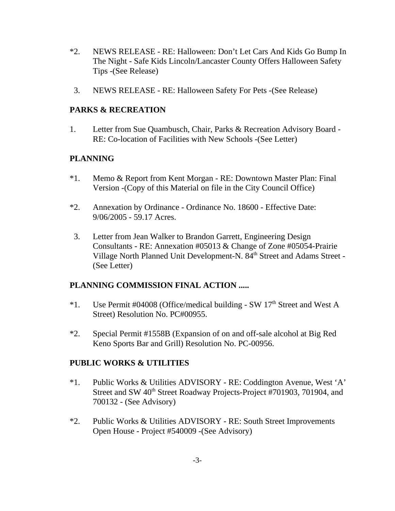- \*2. NEWS RELEASE RE: Halloween: Don't Let Cars And Kids Go Bump In The Night - Safe Kids Lincoln/Lancaster County Offers Halloween Safety Tips -(See Release)
- 3. NEWS RELEASE RE: Halloween Safety For Pets -(See Release)

# **PARKS & RECREATION**

1. Letter from Sue Quambusch, Chair, Parks & Recreation Advisory Board - RE: Co-location of Facilities with New Schools -(See Letter)

# **PLANNING**

- \*1. Memo & Report from Kent Morgan RE: Downtown Master Plan: Final Version -(Copy of this Material on file in the City Council Office)
- \*2. Annexation by Ordinance Ordinance No. 18600 Effective Date: 9/06/2005 - 59.17 Acres.
- 3. Letter from Jean Walker to Brandon Garrett, Engineering Design Consultants - RE: Annexation #05013 & Change of Zone #05054-Prairie Village North Planned Unit Development-N. 84<sup>th</sup> Street and Adams Street -(See Letter)

# **PLANNING COMMISSION FINAL ACTION .....**

- $*1.$  Use Permit #04008 (Office/medical building SW 17<sup>th</sup> Street and West A Street) Resolution No. PC#00955.
- \*2. Special Permit #1558B (Expansion of on and off-sale alcohol at Big Red Keno Sports Bar and Grill) Resolution No. PC-00956.

# **PUBLIC WORKS & UTILITIES**

- \*1. Public Works & Utilities ADVISORY RE: Coddington Avenue, West 'A' Street and SW 40<sup>th</sup> Street Roadway Projects-Project #701903, 701904, and 700132 - (See Advisory)
- \*2. Public Works & Utilities ADVISORY RE: South Street Improvements Open House - Project #540009 -(See Advisory)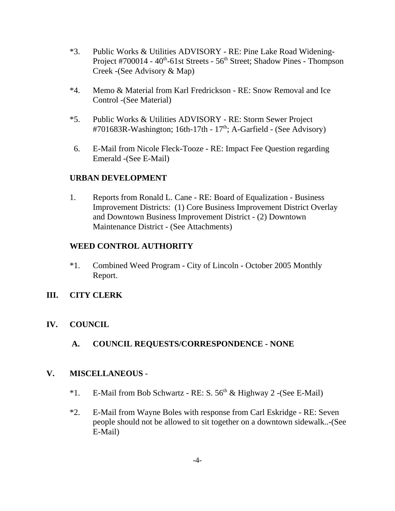- \*3. Public Works & Utilities ADVISORY RE: Pine Lake Road Widening-Project #700014 - 40<sup>th</sup>-61st Streets - 56<sup>th</sup> Street; Shadow Pines - Thompson Creek -(See Advisory & Map)
- \*4. Memo & Material from Karl Fredrickson RE: Snow Removal and Ice Control -(See Material)
- \*5. Public Works & Utilities ADVISORY RE: Storm Sewer Project #701683R-Washington; 16th-17th -  $17<sup>th</sup>$ ; A-Garfield - (See Advisory)
- 6. E-Mail from Nicole Fleck-Tooze RE: Impact Fee Question regarding Emerald -(See E-Mail)

# **URBAN DEVELOPMENT**

1. Reports from Ronald L. Cane - RE: Board of Equalization - Business Improvement Districts: (1) Core Business Improvement District Overlay and Downtown Business Improvement District - (2) Downtown Maintenance District - (See Attachments)

# **WEED CONTROL AUTHORITY**

\*1. Combined Weed Program - City of Lincoln - October 2005 Monthly Report.

# **III. CITY CLERK**

- **IV. COUNCIL**
	- **A. COUNCIL REQUESTS/CORRESPONDENCE NONE**

# **V. MISCELLANEOUS** -

- \*1. E-Mail from Bob Schwartz RE: S.  $56<sup>th</sup>$  & Highway 2 -(See E-Mail)
- \*2. E-Mail from Wayne Boles with response from Carl Eskridge RE: Seven people should not be allowed to sit together on a downtown sidewalk..-(See E-Mail)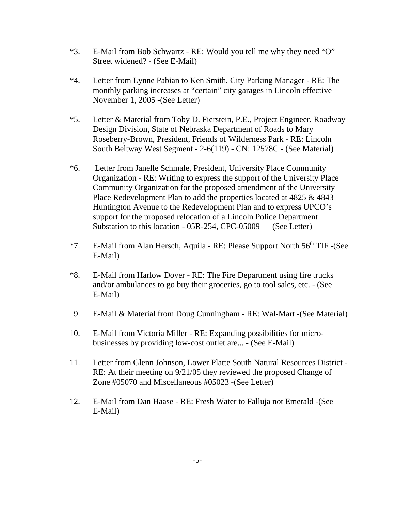- \*3. E-Mail from Bob Schwartz RE: Would you tell me why they need "O" Street widened? - (See E-Mail)
- \*4. Letter from Lynne Pabian to Ken Smith, City Parking Manager RE: The monthly parking increases at "certain" city garages in Lincoln effective November 1, 2005 -(See Letter)
- \*5. Letter & Material from Toby D. Fierstein, P.E., Project Engineer, Roadway Design Division, State of Nebraska Department of Roads to Mary Roseberry-Brown, President, Friends of Wilderness Park - RE: Lincoln South Beltway West Segment - 2-6(119) - CN: 12578C - (See Material)
- \*6. Letter from Janelle Schmale, President, University Place Community Organization - RE: Writing to express the support of the University Place Community Organization for the proposed amendment of the University Place Redevelopment Plan to add the properties located at 4825 & 4843 Huntington Avenue to the Redevelopment Plan and to express UPCO's support for the proposed relocation of a Lincoln Police Department Substation to this location - 05R-254, CPC-05009 — (See Letter)
- $*7.$  E-Mail from Alan Hersch, Aquila RE: Please Support North  $56<sup>th</sup>$  TIF -(See E-Mail)
- \*8. E-Mail from Harlow Dover RE: The Fire Department using fire trucks and/or ambulances to go buy their groceries, go to tool sales, etc. - (See E-Mail)
- 9. E-Mail & Material from Doug Cunningham RE: Wal-Mart -(See Material)
- 10. E-Mail from Victoria Miller RE: Expanding possibilities for microbusinesses by providing low-cost outlet are... - (See E-Mail)
- 11. Letter from Glenn Johnson, Lower Platte South Natural Resources District RE: At their meeting on 9/21/05 they reviewed the proposed Change of Zone #05070 and Miscellaneous #05023 -(See Letter)
- 12. E-Mail from Dan Haase RE: Fresh Water to Falluja not Emerald -(See E-Mail)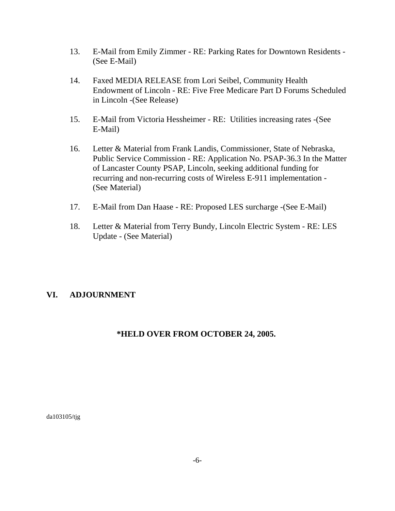- 13. E-Mail from Emily Zimmer RE: Parking Rates for Downtown Residents (See E-Mail)
- 14. Faxed MEDIA RELEASE from Lori Seibel, Community Health Endowment of Lincoln - RE: Five Free Medicare Part D Forums Scheduled in Lincoln -(See Release)
- 15. E-Mail from Victoria Hessheimer RE: Utilities increasing rates -(See E-Mail)
- 16. Letter & Material from Frank Landis, Commissioner, State of Nebraska, Public Service Commission - RE: Application No. PSAP-36.3 In the Matter of Lancaster County PSAP, Lincoln, seeking additional funding for recurring and non-recurring costs of Wireless E-911 implementation - (See Material)
- 17. E-Mail from Dan Haase RE: Proposed LES surcharge -(See E-Mail)
- 18. Letter & Material from Terry Bundy, Lincoln Electric System RE: LES Update - (See Material)

# **VI. ADJOURNMENT**

# **\*HELD OVER FROM OCTOBER 24, 2005.**

da103105/tjg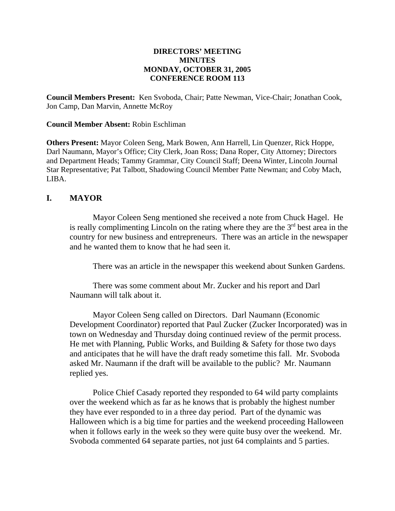#### **DIRECTORS' MEETING MINUTES MONDAY, OCTOBER 31, 2005 CONFERENCE ROOM 113**

**Council Members Present:** Ken Svoboda, Chair; Patte Newman, Vice-Chair; Jonathan Cook, Jon Camp, Dan Marvin, Annette McRoy

#### **Council Member Absent:** Robin Eschliman

**Others Present:** Mayor Coleen Seng, Mark Bowen, Ann Harrell, Lin Quenzer, Rick Hoppe, Darl Naumann, Mayor's Office; City Clerk, Joan Ross; Dana Roper, City Attorney; Directors and Department Heads; Tammy Grammar, City Council Staff; Deena Winter, Lincoln Journal Star Representative; Pat Talbott, Shadowing Council Member Patte Newman; and Coby Mach, LIBA.

#### **I. MAYOR**

Mayor Coleen Seng mentioned she received a note from Chuck Hagel. He is really complimenting Lincoln on the rating where they are the  $3<sup>rd</sup>$  best area in the country for new business and entrepreneurs. There was an article in the newspaper and he wanted them to know that he had seen it.

There was an article in the newspaper this weekend about Sunken Gardens.

There was some comment about Mr. Zucker and his report and Darl Naumann will talk about it.

Mayor Coleen Seng called on Directors. Darl Naumann (Economic Development Coordinator) reported that Paul Zucker (Zucker Incorporated) was in town on Wednesday and Thursday doing continued review of the permit process. He met with Planning, Public Works, and Building & Safety for those two days and anticipates that he will have the draft ready sometime this fall. Mr. Svoboda asked Mr. Naumann if the draft will be available to the public? Mr. Naumann replied yes.

Police Chief Casady reported they responded to 64 wild party complaints over the weekend which as far as he knows that is probably the highest number they have ever responded to in a three day period. Part of the dynamic was Halloween which is a big time for parties and the weekend proceeding Halloween when it follows early in the week so they were quite busy over the weekend. Mr. Svoboda commented 64 separate parties, not just 64 complaints and 5 parties.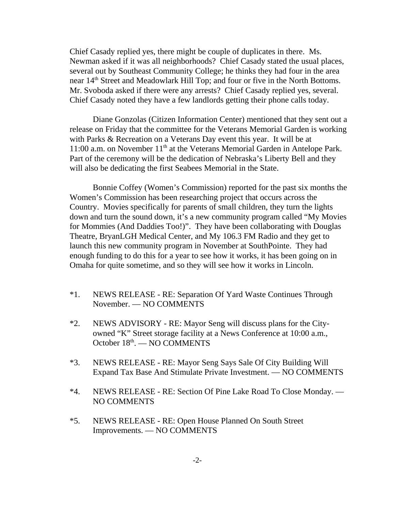Chief Casady replied yes, there might be couple of duplicates in there. Ms. Newman asked if it was all neighborhoods? Chief Casady stated the usual places, several out by Southeast Community College; he thinks they had four in the area near 14<sup>th</sup> Street and Meadowlark Hill Top; and four or five in the North Bottoms. Mr. Svoboda asked if there were any arrests? Chief Casady replied yes, several. Chief Casady noted they have a few landlords getting their phone calls today.

Diane Gonzolas (Citizen Information Center) mentioned that they sent out a release on Friday that the committee for the Veterans Memorial Garden is working with Parks & Recreation on a Veterans Day event this year. It will be at 11:00 a.m. on November 11<sup>th</sup> at the Veterans Memorial Garden in Antelope Park. Part of the ceremony will be the dedication of Nebraska's Liberty Bell and they will also be dedicating the first Seabees Memorial in the State.

Bonnie Coffey (Women's Commission) reported for the past six months the Women's Commission has been researching project that occurs across the Country. Movies specifically for parents of small children, they turn the lights down and turn the sound down, it's a new community program called "My Movies for Mommies (And Daddies Too!)". They have been collaborating with Douglas Theatre, BryanLGH Medical Center, and My 106.3 FM Radio and they get to launch this new community program in November at SouthPointe. They had enough funding to do this for a year to see how it works, it has been going on in Omaha for quite sometime, and so they will see how it works in Lincoln.

- \*1. NEWS RELEASE RE: Separation Of Yard Waste Continues Through November. — NO COMMENTS
- \*2. NEWS ADVISORY RE: Mayor Seng will discuss plans for the Cityowned "K" Street storage facility at a News Conference at 10:00 a.m., October 18<sup>th</sup>. — NO COMMENTS
- \*3. NEWS RELEASE RE: Mayor Seng Says Sale Of City Building Will Expand Tax Base And Stimulate Private Investment. — NO COMMENTS
- \*4. NEWS RELEASE RE: Section Of Pine Lake Road To Close Monday. NO COMMENTS
- \*5. NEWS RELEASE RE: Open House Planned On South Street Improvements. — NO COMMENTS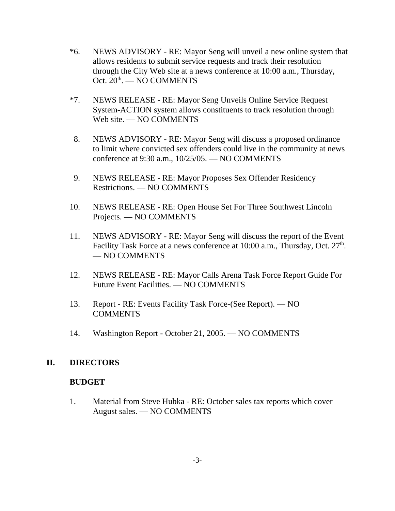- \*6. NEWS ADVISORY RE: Mayor Seng will unveil a new online system that allows residents to submit service requests and track their resolution through the City Web site at a news conference at 10:00 a.m., Thursday, Oct.  $20<sup>th</sup>$ . — NO COMMENTS
- \*7. NEWS RELEASE RE: Mayor Seng Unveils Online Service Request System-ACTION system allows constituents to track resolution through Web site. — NO COMMENTS
- 8. NEWS ADVISORY RE: Mayor Seng will discuss a proposed ordinance to limit where convicted sex offenders could live in the community at news conference at 9:30 a.m., 10/25/05. — NO COMMENTS
- 9. NEWS RELEASE RE: Mayor Proposes Sex Offender Residency Restrictions. — NO COMMENTS
- 10. NEWS RELEASE RE: Open House Set For Three Southwest Lincoln Projects. — NO COMMENTS
- 11. NEWS ADVISORY RE: Mayor Seng will discuss the report of the Event Facility Task Force at a news conference at  $10:00$  a.m., Thursday, Oct.  $27<sup>th</sup>$ . — NO COMMENTS
- 12. NEWS RELEASE RE: Mayor Calls Arena Task Force Report Guide For Future Event Facilities. — NO COMMENTS
- 13. Report RE: Events Facility Task Force-(See Report). NO COMMENTS
- 14. Washington Report October 21, 2005. NO COMMENTS

# **II. DIRECTORS**

#### **BUDGET**

1. Material from Steve Hubka - RE: October sales tax reports which cover August sales. — NO COMMENTS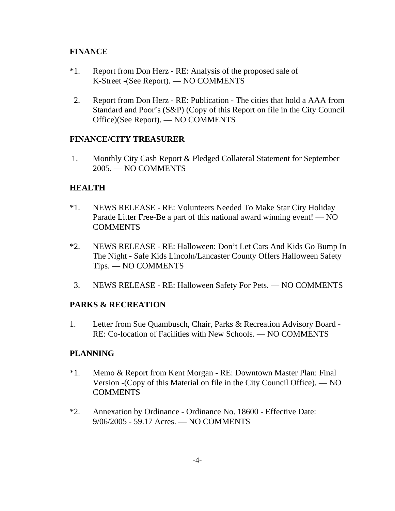# **FINANCE**

- \*1. Report from Don Herz RE: Analysis of the proposed sale of K-Street -(See Report). — NO COMMENTS
- 2. Report from Don Herz RE: Publication The cities that hold a AAA from Standard and Poor's (S&P) (Copy of this Report on file in the City Council Office)(See Report). — NO COMMENTS

# **FINANCE/CITY TREASURER**

 1. Monthly City Cash Report & Pledged Collateral Statement for September 2005. — NO COMMENTS

# **HEALTH**

- \*1. NEWS RELEASE RE: Volunteers Needed To Make Star City Holiday Parade Litter Free-Be a part of this national award winning event! — NO COMMENTS
- \*2. NEWS RELEASE RE: Halloween: Don't Let Cars And Kids Go Bump In The Night - Safe Kids Lincoln/Lancaster County Offers Halloween Safety Tips. — NO COMMENTS
- 3. NEWS RELEASE RE: Halloween Safety For Pets. NO COMMENTS

# **PARKS & RECREATION**

1. Letter from Sue Quambusch, Chair, Parks & Recreation Advisory Board - RE: Co-location of Facilities with New Schools. — NO COMMENTS

# **PLANNING**

- \*1. Memo & Report from Kent Morgan RE: Downtown Master Plan: Final Version -(Copy of this Material on file in the City Council Office). — NO COMMENTS
- \*2. Annexation by Ordinance Ordinance No. 18600 Effective Date: 9/06/2005 - 59.17 Acres. — NO COMMENTS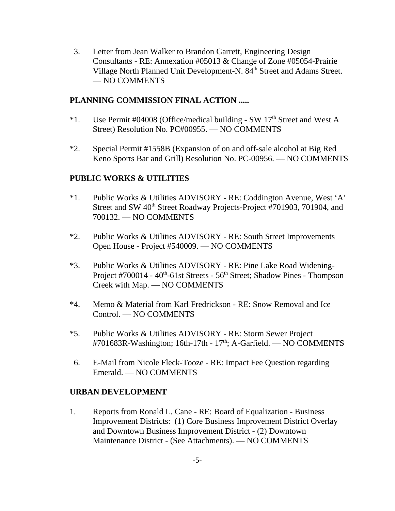3. Letter from Jean Walker to Brandon Garrett, Engineering Design Consultants - RE: Annexation #05013 & Change of Zone #05054-Prairie Village North Planned Unit Development-N. 84<sup>th</sup> Street and Adams Street. — NO COMMENTS

#### **PLANNING COMMISSION FINAL ACTION .....**

- $*1.$  Use Permit #04008 (Office/medical building SW 17<sup>th</sup> Street and West A Street) Resolution No. PC#00955. — NO COMMENTS
- \*2. Special Permit #1558B (Expansion of on and off-sale alcohol at Big Red Keno Sports Bar and Grill) Resolution No. PC-00956. — NO COMMENTS

# **PUBLIC WORKS & UTILITIES**

- \*1. Public Works & Utilities ADVISORY RE: Coddington Avenue, West 'A' Street and SW 40<sup>th</sup> Street Roadway Projects-Project #701903, 701904, and 700132. — NO COMMENTS
- \*2. Public Works & Utilities ADVISORY RE: South Street Improvements Open House - Project #540009. — NO COMMENTS
- \*3. Public Works & Utilities ADVISORY RE: Pine Lake Road Widening-Project #700014 -  $40^{\text{th}}$ -61st Streets -  $56^{\text{th}}$  Street; Shadow Pines - Thompson Creek with Map. — NO COMMENTS
- \*4. Memo & Material from Karl Fredrickson RE: Snow Removal and Ice Control. — NO COMMENTS
- \*5. Public Works & Utilities ADVISORY RE: Storm Sewer Project #701683R-Washington; 16th-17th -  $17<sup>th</sup>$ ; A-Garfield. — NO COMMENTS
- 6. E-Mail from Nicole Fleck-Tooze RE: Impact Fee Question regarding Emerald. — NO COMMENTS

#### **URBAN DEVELOPMENT**

1. Reports from Ronald L. Cane - RE: Board of Equalization - Business Improvement Districts: (1) Core Business Improvement District Overlay and Downtown Business Improvement District - (2) Downtown Maintenance District - (See Attachments). — NO COMMENTS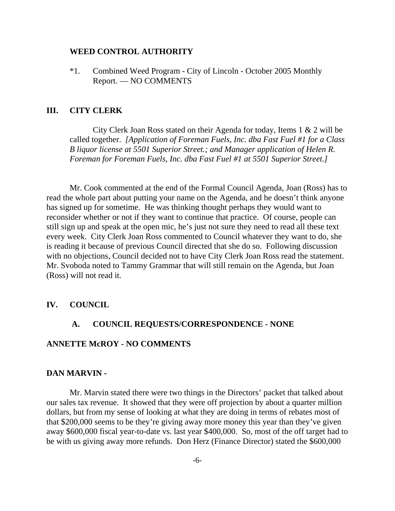#### **WEED CONTROL AUTHORITY**

\*1. Combined Weed Program - City of Lincoln - October 2005 Monthly Report. — NO COMMENTS

#### **III. CITY CLERK**

City Clerk Joan Ross stated on their Agenda for today, Items 1 & 2 will be called together. *[Application of Foreman Fuels, Inc. dba Fast Fuel #1 for a Class B liquor license at 5501 Superior Street.; and Manager application of Helen R. Foreman for Foreman Fuels, Inc. dba Fast Fuel #1 at 5501 Superior Street.]* 

Mr. Cook commented at the end of the Formal Council Agenda, Joan (Ross) has to read the whole part about putting your name on the Agenda, and he doesn't think anyone has signed up for sometime. He was thinking thought perhaps they would want to reconsider whether or not if they want to continue that practice. Of course, people can still sign up and speak at the open mic, he's just not sure they need to read all these text every week. City Clerk Joan Ross commented to Council whatever they want to do, she is reading it because of previous Council directed that she do so. Following discussion with no objections, Council decided not to have City Clerk Joan Ross read the statement. Mr. Svoboda noted to Tammy Grammar that will still remain on the Agenda, but Joan (Ross) will not read it.

#### **IV. COUNCIL**

#### **A. COUNCIL REQUESTS/CORRESPONDENCE - NONE**

#### **ANNETTE McROY - NO COMMENTS**

#### **DAN MARVIN -**

Mr. Marvin stated there were two things in the Directors' packet that talked about our sales tax revenue. It showed that they were off projection by about a quarter million dollars, but from my sense of looking at what they are doing in terms of rebates most of that \$200,000 seems to be they're giving away more money this year than they've given away \$600,000 fiscal year-to-date vs. last year \$400,000. So, most of the off target had to be with us giving away more refunds. Don Herz (Finance Director) stated the \$600,000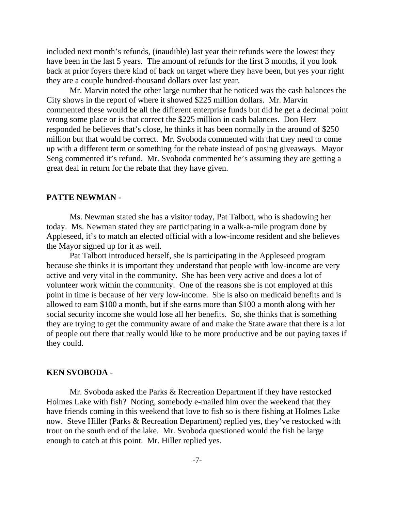included next month's refunds, (inaudible) last year their refunds were the lowest they have been in the last 5 years. The amount of refunds for the first 3 months, if you look back at prior foyers there kind of back on target where they have been, but yes your right they are a couple hundred-thousand dollars over last year.

Mr. Marvin noted the other large number that he noticed was the cash balances the City shows in the report of where it showed \$225 million dollars. Mr. Marvin commented these would be all the different enterprise funds but did he get a decimal point wrong some place or is that correct the \$225 million in cash balances. Don Herz responded he believes that's close, he thinks it has been normally in the around of \$250 million but that would be correct. Mr. Svoboda commented with that they need to come up with a different term or something for the rebate instead of posing giveaways. Mayor Seng commented it's refund. Mr. Svoboda commented he's assuming they are getting a great deal in return for the rebate that they have given.

#### **PATTE NEWMAN -**

Ms. Newman stated she has a visitor today, Pat Talbott, who is shadowing her today. Ms. Newman stated they are participating in a walk-a-mile program done by Appleseed, it's to match an elected official with a low-income resident and she believes the Mayor signed up for it as well.

Pat Talbott introduced herself, she is participating in the Appleseed program because she thinks it is important they understand that people with low-income are very active and very vital in the community. She has been very active and does a lot of volunteer work within the community. One of the reasons she is not employed at this point in time is because of her very low-income. She is also on medicaid benefits and is allowed to earn \$100 a month, but if she earns more than \$100 a month along with her social security income she would lose all her benefits. So, she thinks that is something they are trying to get the community aware of and make the State aware that there is a lot of people out there that really would like to be more productive and be out paying taxes if they could.

#### **KEN SVOBODA -**

Mr. Svoboda asked the Parks & Recreation Department if they have restocked Holmes Lake with fish? Noting, somebody e-mailed him over the weekend that they have friends coming in this weekend that love to fish so is there fishing at Holmes Lake now. Steve Hiller (Parks & Recreation Department) replied yes, they've restocked with trout on the south end of the lake. Mr. Svoboda questioned would the fish be large enough to catch at this point. Mr. Hiller replied yes.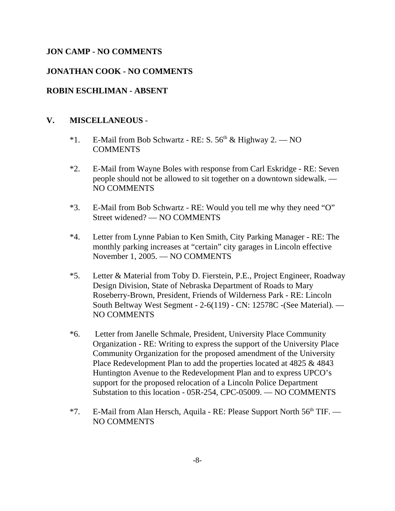# **JON CAMP - NO COMMENTS**

#### **JONATHAN COOK - NO COMMENTS**

#### **ROBIN ESCHLIMAN - ABSENT**

#### **V. MISCELLANEOUS** -

- \*1. E-Mail from Bob Schwartz RE: S.  $56<sup>th</sup>$  & Highway 2. NO **COMMENTS**
- \*2. E-Mail from Wayne Boles with response from Carl Eskridge RE: Seven people should not be allowed to sit together on a downtown sidewalk. — NO COMMENTS
- \*3. E-Mail from Bob Schwartz RE: Would you tell me why they need "O" Street widened? — NO COMMENTS
- \*4. Letter from Lynne Pabian to Ken Smith, City Parking Manager RE: The monthly parking increases at "certain" city garages in Lincoln effective November 1, 2005. — NO COMMENTS
- \*5. Letter & Material from Toby D. Fierstein, P.E., Project Engineer, Roadway Design Division, State of Nebraska Department of Roads to Mary Roseberry-Brown, President, Friends of Wilderness Park - RE: Lincoln South Beltway West Segment - 2-6(119) - CN: 12578C -(See Material). — NO COMMENTS
- \*6. Letter from Janelle Schmale, President, University Place Community Organization - RE: Writing to express the support of the University Place Community Organization for the proposed amendment of the University Place Redevelopment Plan to add the properties located at 4825 & 4843 Huntington Avenue to the Redevelopment Plan and to express UPCO's support for the proposed relocation of a Lincoln Police Department Substation to this location - 05R-254, CPC-05009. — NO COMMENTS
- \*7. E-Mail from Alan Hersch, Aquila RE: Please Support North 56<sup>th</sup> TIF. NO COMMENTS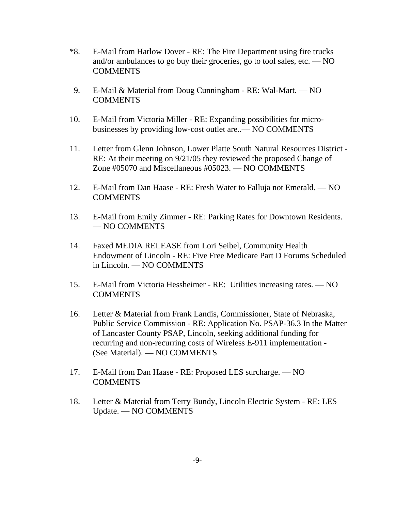- \*8. E-Mail from Harlow Dover RE: The Fire Department using fire trucks and/or ambulances to go buy their groceries, go to tool sales, etc. — NO COMMENTS
- 9. E-Mail & Material from Doug Cunningham RE: Wal-Mart. NO COMMENTS
- 10. E-Mail from Victoria Miller RE: Expanding possibilities for microbusinesses by providing low-cost outlet are..— NO COMMENTS
- 11. Letter from Glenn Johnson, Lower Platte South Natural Resources District RE: At their meeting on 9/21/05 they reviewed the proposed Change of Zone #05070 and Miscellaneous #05023. — NO COMMENTS
- 12. E-Mail from Dan Haase RE: Fresh Water to Falluja not Emerald. NO COMMENTS
- 13. E-Mail from Emily Zimmer RE: Parking Rates for Downtown Residents. — NO COMMENTS
- 14. Faxed MEDIA RELEASE from Lori Seibel, Community Health Endowment of Lincoln - RE: Five Free Medicare Part D Forums Scheduled in Lincoln. — NO COMMENTS
- 15. E-Mail from Victoria Hessheimer RE: Utilities increasing rates. NO **COMMENTS**
- 16. Letter & Material from Frank Landis, Commissioner, State of Nebraska, Public Service Commission - RE: Application No. PSAP-36.3 In the Matter of Lancaster County PSAP, Lincoln, seeking additional funding for recurring and non-recurring costs of Wireless E-911 implementation - (See Material). — NO COMMENTS
- 17. E-Mail from Dan Haase RE: Proposed LES surcharge. NO **COMMENTS**
- 18. Letter & Material from Terry Bundy, Lincoln Electric System RE: LES Update. — NO COMMENTS